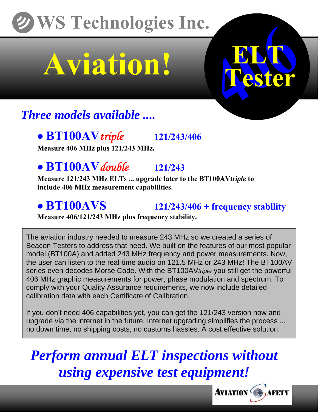## **WS Technologies Inc.**

# **Aviation!**



## *Three models available ....*

### • **BT100AV***triple* **121/243/406**

**Measure 406 MHz plus 121/243 MHz.** 

**• BT100AV** *double* **121/243**<br>Measure 121/243 MHz ELTs ... upgrade later to the BT100AV*triple* to **include 406 MHz measurement capabilities.** 

### • **BT100AVS** 121/243/406 + frequency stability

**Measure 406/121/243 MHz plus frequency stability.**

The aviation industry needed to measure 243 MHz so we created a series of Beacon Testers to address that need. We built on the features of our most popular model (BT100A) and added 243 MHz frequency and power measurements. Now, the user can listen to the real-time audio on 121.5 MHz or 243 MHz! The BT100AV series even decodes Morse Code. With the BT100AV*triple* you still get the powerful 406 MHz graphic measurements for power, phase modulation and spectrum. To comply with your Quality Assurance requirements, we now include detailed calibration data with each Certificate of Calibration.

If you don't need 406 capabilities yet, you can get the 121/243 version now and upgrade via the internet in the future. Internet upgrading simplifies the process ... no down time, no shipping costs, no customs hassles. A cost effective solution.

*Perform annual ELT inspections without using expensive test equipment!*